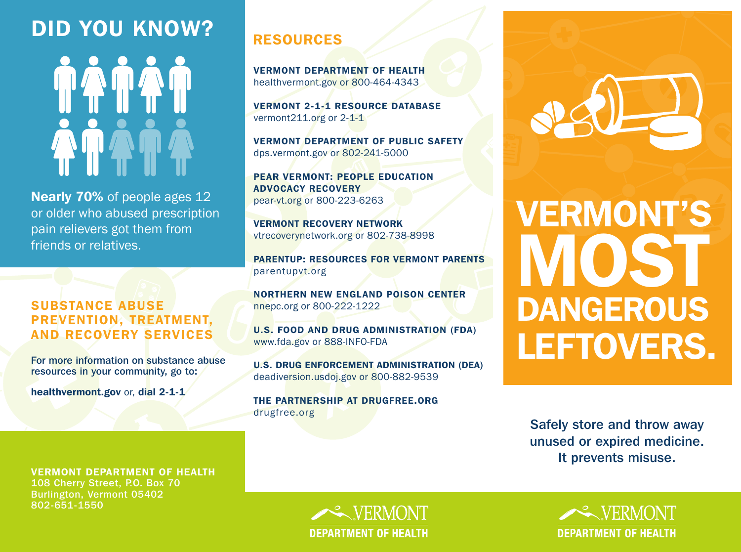# DID YOU KNOW?

Nearly 70% of people ages 12 or older who abused prescription pain relievers got them from friends or relatives.

### SUBSTANCE ABUSE PREVENTION, TREATMENT, AND RECOVERY SERVICES

For more information on substance abuse resources in your community, go to:

healthvermont.gov or, dial 2-1-1

VERMONT DEPARTMENT OF HEALTH

108 Cherry Street, P.O. Box 70 Burlington, Vermont 05402 802-651-1550

### RESOURCES

VERMONT DEPARTMENT OF HEALTH healthvermont.gov or 800-464-4343

VERMONT 2-1-1 RESOURCE DATABASE vermont211.org or 2-1-1

VERMONT DEPARTMENT OF PUBLIC SAFETY dps.vermont.gov or 802-241-5000

PEAR VERMONT: PEOPLE EDUCATION ADVOCACY RECOVERY pear-vt.org or 800-223-6263

VERMONT RECOVERY NETWORK vtrecoverynetwork.org or 802-738-8998

PARENTUP: RESOURCES FOR VERMONT PARENTS parentupvt.org

NORTHERN NEW ENGLAND POISON CENTER nnepc.org or 800-222-1222

U.S. FOOD AND DRUG ADMINISTRATION (FDA) www.fda.gov or 888-INFO-FDA

U.S. DRUG ENFORCEMENT ADMINISTRATION (DEA) deadiversion.usdoj.gov or 800-882-9539

THE PARTNERSHIP AT DRUGFREE.ORG drugfree.org

# VERMONT'S VIOST DANGEROUS LEFTOVERS.

Safely store and throw away unused or expired medicine. It prevents misuse.

**EXPERMONT DEPARTMENT OF HEALTH**